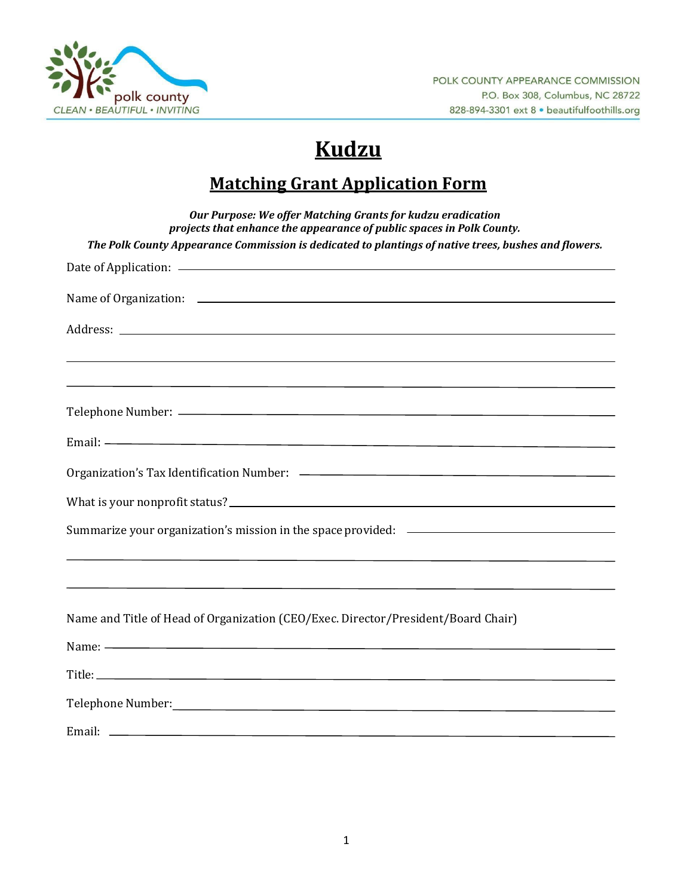

# **Kudzu**

## **Matching Grant Application Form**

| Our Purpose: We offer Matching Grants for kudzu eradication<br>projects that enhance the appearance of public spaces in Polk County. |
|--------------------------------------------------------------------------------------------------------------------------------------|
| The Polk County Appearance Commission is dedicated to plantings of native trees, bushes and flowers.                                 |
|                                                                                                                                      |
|                                                                                                                                      |
|                                                                                                                                      |
| <u> 1989 - Andrea Andrewski, amerikansk politik (d. 1989)</u>                                                                        |
|                                                                                                                                      |
|                                                                                                                                      |
|                                                                                                                                      |
| What is your nonprofit status?                                                                                                       |
| Summarize your organization's mission in the space provided: ____________________                                                    |
|                                                                                                                                      |
| Name and Title of Head of Organization (CEO/Exec. Director/President/Board Chair)                                                    |
| Name: $\leftarrow$                                                                                                                   |
|                                                                                                                                      |
|                                                                                                                                      |
|                                                                                                                                      |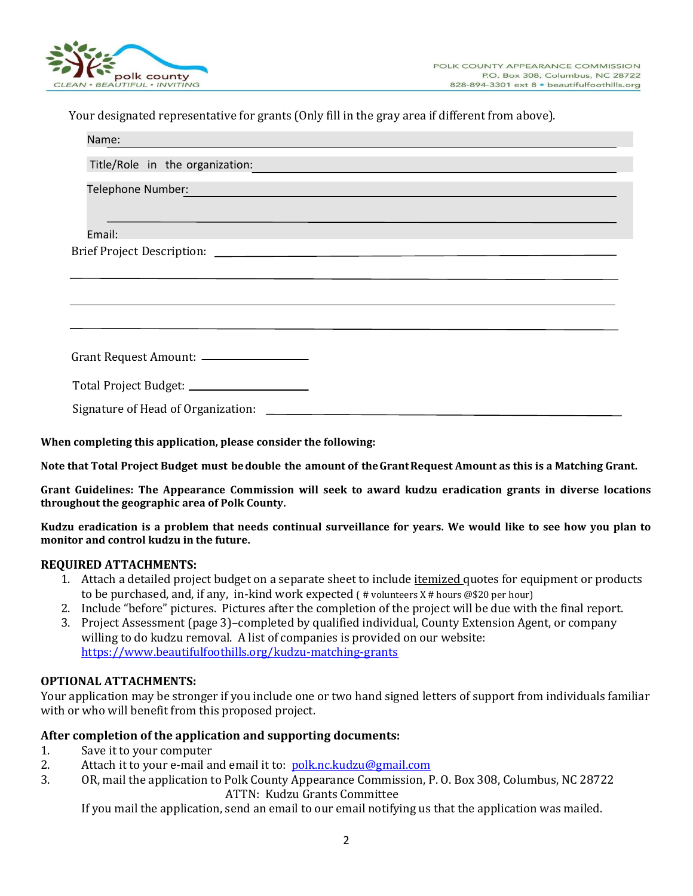

Your designated representative for grants (Only fill in the gray area if different from above).

|                                                                                                                | Name:  |  |  |
|----------------------------------------------------------------------------------------------------------------|--------|--|--|
| Title/Role in the organization:                                                                                |        |  |  |
| Telephone Number: National Communication of the Communication of the Communication of the Communication of the |        |  |  |
|                                                                                                                | Email: |  |  |
|                                                                                                                |        |  |  |
|                                                                                                                |        |  |  |
|                                                                                                                |        |  |  |
|                                                                                                                |        |  |  |
| Grant Request Amount: _________________                                                                        |        |  |  |
| Total Project Budget: _____________________                                                                    |        |  |  |
|                                                                                                                |        |  |  |

**When completing this application, please consider the following:**

**Note that Total Project Budget must bedouble the amount of theGrantRequest Amount as this is a Matching Grant.**

**Grant Guidelines: The Appearance Commission will seek to award kudzu eradication grants in diverse locations throughout the geographic area of Polk County.**

**Kudzu eradication is a problem that needs continual surveillance for years. We would like to see how you plan to monitor and control kudzu in the future.**

#### **REQUIRED ATTACHMENTS:**

- 1. Attach a detailed project budget on a separate sheet to include *itemized* quotes for equipment or products to be purchased, and, if any, in-kind work expected  $($  # volunteers  $X \#$  hours @\$20 per hour)
- 2. Include "before" pictures. Pictures after the completion of the project will be due with the final report.
- 3. Project Assessment (page 3)–completed by qualified individual, County Extension Agent, or company willing to do kudzu removal. A list of companies is provided on our website: <https://www.beautifulfoothills.org/kudzu-matching-grants>

#### **OPTIONAL ATTACHMENTS:**

Your application may be stronger if you include one or two hand signed letters of support from individuals familiar with or who will benefit from this proposed project.

#### **After completion of the application and supporting documents:**

- 1. Save it to your computer
- 2. Attach it to your e-mail and email it to: [polk.nc.kudzu@gmail.com](mailto:polk.nc.kudzu@gmail.com)
- 3. OR, mail the application to Polk County Appearance Commission, P. O. Box 308, Columbus, NC 28722 ATTN: Kudzu Grants Committee

If you mail the application, send an email to our email notifying us that the application was mailed.